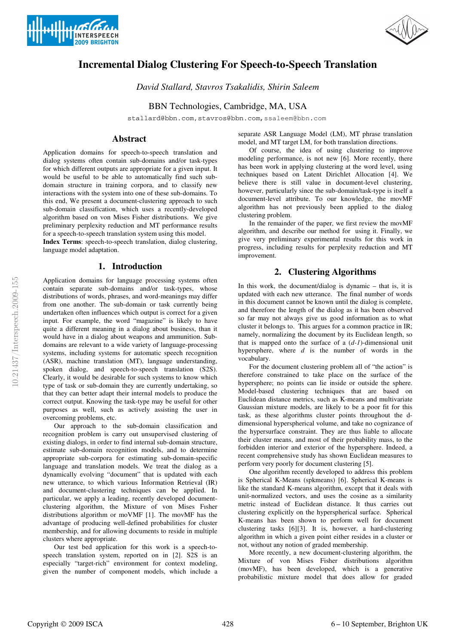



# **Incremental Dialog Clustering For Speech-to-Speech Translation**

*David Stallard, Stavros Tsakalidis, Shirin Saleem*

BBN Technologies, Cambridge, MA, USA

stallard@bbn.com,stavros@bbn.com,ssaleem@bbn.com

# **Abstract**

Application domains for speech-to-speech translation and dialog systems often contain sub-domains and/or task-types for which different outputs are appropriate for a given input. It would be useful to be able to automatically find such subdomain structure in training corpora, and to classify new interactions with the system into one of these sub-domains. To this end, We present a document-clustering approach to such sub-domain classification, which uses a recently-developed algorithm based on von Mises Fisher distributions. We give preliminary perplexity reduction and MT performance results for a speech-to-speech translation system using this model.

**Index Terms**: speech-to-speech translation, dialog clustering, language model adaptation.

# **1. Introduction**

Application domains for language processing systems often contain separate sub-domains and/or task-types, whose distributions of words, phrases, and word-meanings may differ from one another. The sub-domain or task currently being undertaken often influences which output is correct for a given input. For example, the word "magazine" is likely to have quite a different meaning in a dialog about business, than it would have in a dialog about weapons and ammunition. Subdomains are relevant to a wide variety of language-processing systems, including systems for automatic speech recognition (ASR), machine translation (MT), language understanding, spoken dialog, and speech-to-speech translation (S2S). Clearly, it would be desirable for such systems to know which type of task or sub-domain they are currently undertaking, so that they can better adapt their internal models to produce the correct output. Knowing the task-type may be useful for other purposes as well, such as actively assisting the user in overcoming problems, etc.

Our approach to the sub-domain classification and recognition problem is carry out unsupervised clustering of existing dialogs, in order to find internal sub-domain structure, estimate sub-domain recognition models, and to determine appropriate sub-corpora for estimating sub-domain-specific language and translation models. We treat the dialog as a dynamically evolving "document" that is updated with each new utterance, to which various Information Retrieval (IR) and document-clustering techniques can be applied. In particular, we apply a leading, recently developed documentclustering algorithm, the Mixture of von Mises Fısher distributions algorithm or moVMF [1]. The movMF has the advantage of producing well-defined probabilities for cluster membership, and for allowing documents to reside in multiple clusters where appropriate.

Our test bed application for this work is a speech-tospeech translation system, reported on in [2]. S2S is an especially "target-rich" environment for context modeling, given the number of component models, which include a separate ASR Language Model (LM), MT phrase translation model, and MT target LM, for both translation directions.

Of course, the idea of using clustering to improve modeling performance, is not new [6]. More recently, there has been work in applying clustering at the word level, using techniques based on Latent Dirichlet Allocation [4]. We believe there is still value in document-level clustering, however, particularly since the sub-domain/task-type is itself a document-level attribute. To our knowledge, the movMF algorithm has not previously been applied to the dialog clustering problem.

In the remainder of the paper, we first review the movMF algorithm, and describe our method for using it. Finally, we give very preliminary experimental results for this work in progress, including results for perplexity reduction and MT improvement.

# **2. Clustering Algorithms**

In this work, the document/dialog is dynamic – that is, it is updated with each new utterance. The final number of words in this document cannot be known until the dialog is complete, and therefore the length of the dialog as it has been observed so far may not always give us good information as to what cluster it belongs to. This argues for a common practice in IR; namely, normalizing the document by its Euclidean length, so that is mapped onto the surface of a (*d-1*)-dimensional unit hypersphere, where *d* is the number of words in the vocabulary.

For the document clustering problem all of "the action" is therefore constrained to take place on the surface of the hypersphere; no points can lie inside or outside the sphere. Model-based clustering techniques that are based on Euclidean distance metrics, such as K-means and multivariate Gaussian mixture models, are likely to be a poor fit for this task, as these algorithms cluster points throughout the ddimensional hyperspherical volume, and take no cognizance of the hypersurface constraint. They are thus liable to allocate their cluster means, and most of their probability mass, to the forbidden interior and exterior of the hypersphere. Indeed, a recent comprehensive study has shown Euclidean measures to perform very poorly for document clustering [5].

One algorithm recently developed to address this problem is Spherical K-Means (spkmeans) [6]. Spherical K-means is like the standard K-means algorithm, except that it deals with unit-normalized vectors, and uses the cosine as a similarity metric instead of Euclidean distance. It thus carries out clustering explicitly on the hyperspherical surface. Spherical K-means has been shown to perform well for document clustering tasks [6][3]. It is, however, a hard-clustering algorithm in which a given point either resides in a cluster or not, without any notion of graded membership.

More recently, a new document-clustering algorithm, the Mixture of von Mises Fisher distributions algorithm (movMF), has been developed, which is a generative probabilistic mixture model that does allow for graded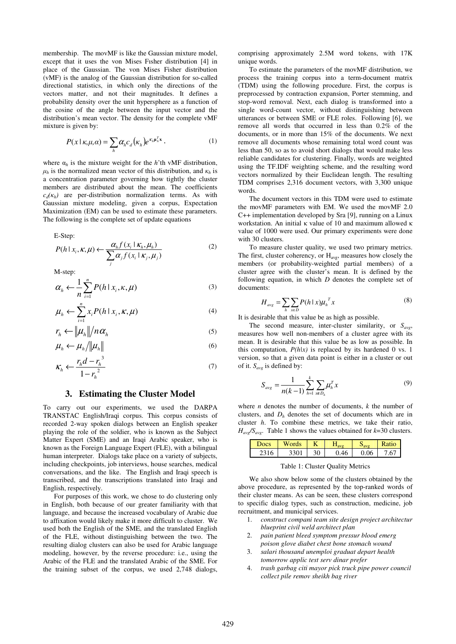membership. The movMF is like the Gaussian mixture model, except that it uses the von Mises Fısher distribution [4] in place of the Gaussian. The von Mises Fisher distribution (vMF) is the analog of the Gaussian distribution for so-called directional statistics, in which only the directions of the vectors matter, and not their magnitudes. It defines a probability density over the unit hypersphere as a function of the cosine of the angle between the input vector and the distribution's mean vector. The density for the complete vMF mixture is given by:

$$
P(x \mid \kappa, \mu, \alpha) = \sum_{h} \alpha_{h} c_{d} (\kappa_{h}) e^{\kappa_{h} \mu_{h}^{T} x} \,, \tag{1}
$$

where  $\alpha_h$  is the mixture weight for the *h*'th vMF distribution,  $\mu_h$  is the normalized mean vector of this distribution, and  $\kappa_h$  is a concentration parameter governing how tightly the cluster members are distributed about the mean. The coefficients  $c_d(\kappa_h)$  are per-distribution normalization terms. As with Gaussian mixture modeling, given a corpus, Expectation Maximization (EM) can be used to estimate these parameters. The following is the complete set of update equations

E-Step:

$$
P(h \mid x_i, \kappa, \mu) \leftarrow \frac{\alpha_h f(x_i \mid \kappa_h, \mu_h)}{\sum_j \alpha_j f(x_i \mid \kappa_j, \mu_j)}
$$
(2)

M-step:

$$
\alpha_h \leftarrow \frac{1}{n} \sum_{i=1}^n P(h \mid x_i, \kappa, \mu) \tag{3}
$$

$$
\mu_h \leftarrow \sum_{i=1}^n x_i P(h \mid x_i, \kappa, \mu) \tag{4}
$$

$$
r_h \leftarrow \left\| \mu_h \right\| / n \alpha_h \tag{5}
$$

$$
\mu_h \leftarrow \mu_h / \|\mu_h\| \tag{6}
$$

$$
K_h \leftarrow \frac{r_h d - r_h^3}{1 - r_h^2} \tag{7}
$$

#### **3. Estimating the Cluster Model**

To carry out our experiments, we used the DARPA TRANSTAC English/Iraqi corpus. This corpus consists of recorded 2-way spoken dialogs between an English speaker playing the role of the soldier, who is known as the Subject Matter Expert (SME) and an Iraqi Arabic speaker, who is known as the Foreign Language Expert (FLE), with a bilingual human interpreter. Dialogs take place on a variety of subjects, including checkpoints, job interviews, house searches, medical conversations, and the like. The English and Iraqi speech is transcribed, and the transcriptions translated into Iraqi and English, respectively.

For purposes of this work, we chose to do clustering only in English, both because of our greater familiarity with that language, and because the increased vocabulary of Arabic due to affixation would likely make it more difficult to cluster. We used both the English of the SME, and the translated English of the FLE, without distinguishing between the two. The resulting dialog clusters can also be used for Arabic language modeling, however, by the reverse procedure: i.e., using the Arabic of the FLE and the translated Arabic of the SME. For the training subset of the corpus, we used 2,748 dialogs,

comprising approximately 2.5M word tokens, with 17K unique words.

To estimate the parameters of the movMF distribution, we process the training corpus into a term-document matrix (TDM) using the following procedure. First, the corpus is preprocessed by contraction expansion, Porter stemming, and stop-word removal. Next, each dialog is transformed into a single word-count vector, without distinguishing between utterances or between SME or FLE roles. Following [6], we remove all words that occurred in less than 0.2% of the documents, or in more than 15% of the documents. We next remove all documents whose remaining total word count was less than 50, so as to avoid short dialogs that would make less reliable candidates for clustering. Finally, words are weighted using the TF.IDF weighting scheme, and the resulting word vectors normalized by their Euclidean length. The resulting TDM comprises 2,316 document vectors, with 3,300 unique words.

The document vectors in this TDM were used to estimate the movMF parameters with EM. We used the movMF 2.0 C++ implementation developed by Sra [9], running on a Linux workstation. An initial  $\kappa$  value of 10 and maximum allowed  $\kappa$ value of 1000 were used. Our primary experiments were done with 30 clusters.

To measure cluster quality, we used two primary metrics. The first, cluster coherency, or  $H_{avg}$ , measures how closely the members (or probability-weighted partial members) of a cluster agree with the cluster's mean. It is defined by the following equation, in which *D* denotes the complete set of documents:

$$
H_{avg} = \sum_{h} \sum_{x \in D} P(h \mid x) \mu_h^T x \tag{8}
$$

It is desirable that this value be as high as possible.

The second measure, inter-cluster similarity, or *Savg*, measures how well non-members of a cluster agree with its mean. It is desirable that this value be as low as possible. In this computation,  $P(h|x)$  is replaced by its hardened 0 vs. 1 version, so that a given data point is either in a cluster or out of it. *Savg* is defined by:

$$
S_{avg} = \frac{1}{n(k-1)} \sum_{h=1}^{k} \sum_{x \in D_h} \mu_h^T x
$$
 (9)

where *n* denotes the number of documents, *k* the number of clusters, and  $D<sub>h</sub>$  denotes the set of documents which are in cluster *h*. To combine these metrics, we take their ratio,  $H_{avg}/S_{avg}$ . Table 1 shows the values obtained for  $k=30$  clusters.

| Docs | ords |      |    | <b>Ratic</b> |
|------|------|------|----|--------------|
|      |      | ).46 | 06 | .6           |

Table 1: Cluster Quality Metrics

We also show below some of the clusters obtained by the above procedure, as represented by the top-ranked words of their cluster means. As can be seen, these clusters correspond to specific dialog types, such as construction, medicine, job recruitment, and municipal services.

- 1. *construct compani team site design project architectur blueprint civil weld architect plan*
- 2. *pain patient bleed symptom pressur blood emerg poison glove diabet chest bone stomach wound*
- 3. *salari thousand unemploi graduat depart health tomorrow applic test serv dinar prefer*
- 4. *trash garbag citi mayor pick truck pipe power council collect pile remov sheikh bag river*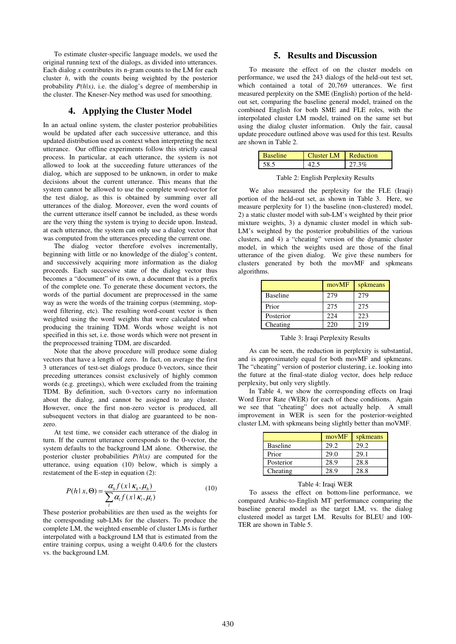To estimate cluster-specific language models, we used the original running text of the dialogs, as divided into utterances. Each dialog *x* contributes its n-gram counts to the LM for each cluster *h*, with the counts being weighted by the posterior probability *P(h|x)*, i.e. the dialog's degree of membership in the cluster. The Kneser-Ney method was used for smoothing.

### **4. Applying the Cluster Model**

In an actual online system, the cluster posterior probabilities would be updated after each successive utterance, and this updated distribution used as context when interpreting the next utterance. Our offline experiments follow this strictly causal process. In particular, at each utterance, the system is not allowed to look at the succeeding future utterances of the dialog, which are supposed to be unknown, in order to make decisions about the current utterance. This means that the system cannot be allowed to use the complete word-vector for the test dialog, as this is obtained by summing over all utterances of the dialog. Moreover, even the word counts of the current utterance itself cannot be included, as these words are the very thing the system is trying to decide upon. Instead, at each utterance, the system can only use a dialog vector that was computed from the utterances preceding the current one.

The dialog vector therefore evolves incrementally, beginning with little or no knowledge of the dialog's content, and successively acquiring more information as the dialog proceeds. Each successive state of the dialog vector thus becomes a "document" of its own, a document that is a prefix of the complete one. To generate these document vectors, the words of the partial document are preprocessed in the same way as were the words of the training corpus (stemming, stopword filtering, etc). The resulting word-count vector is then weighted using the word weights that were calculated when producing the training TDM. Words whose weight is not specified in this set, i.e. those words which were not present in the preprocessed training TDM, are discarded.

Note that the above procedure will produce some dialog vectors that have a length of zero. In fact, on average the first 3 utterances of test-set dialogs produce 0-vectors, since their preceding utterances consist exclusively of highly common words (e.g. greetings), which were excluded from the training TDM. By definition, such 0-vectors carry no information about the dialog, and cannot be assigned to any cluster. However, once the first non-zero vector is produced, all subsequent vectors in that dialog are guaranteed to be nonzero.

At test time, we consider each utterance of the dialog in turn. If the current utterance corresponds to the 0-vector, the system defaults to the background LM alone. Otherwise, the posterior cluster probabilities *P(h|x)* are computed for the utterance, using equation (10) below, which is simply a restatement of the E-step in equation (2):

$$
P(h \mid x, \Theta) = \frac{\alpha_h f(x \mid \kappa_h, \mu_h)}{\sum_l \alpha_l f(x \mid \kappa_l, \mu_l)}
$$
(10)

These posterior probabilities are then used as the weights for the corresponding sub-LMs for the clusters. To produce the complete LM, the weighted ensemble of cluster LMs is further interpolated with a background LM that is estimated from the entire training corpus, using a weight 0.4/0.6 for the clusters vs. the background LM.

#### **5. Results and Discussion**

To measure the effect of on the cluster models on performance, we used the 243 dialogs of the held-out test set, which contained a total of 20,769 utterances. We first measured perplexity on the SME (English) portion of the heldout set, comparing the baseline general model, trained on the combined English for both SME and FLE roles, with the interpolated cluster LM model, trained on the same set but using the dialog cluster information. Only the fair, causal update procedure outlined above was used for this test. Results are shown in Table 2.

| <b>Baseline</b> | Cluster LM Reduction |       |
|-----------------|----------------------|-------|
| -58.            |                      | 27.3% |

Table 2: English Perplexity Results

We also measured the perplexity for the FLE (Iraqi) portion of the held-out set, as shown in Table 3. Here, we measure perplexity for 1) the baseline (non-clustered) model, 2) a static cluster model with sub-LM's weighted by their prior mixture weights, 3) a dynamic cluster model in which sub-LM's weighted by the posterior probabilities of the various clusters, and 4) a "cheating" version of the dynamic cluster model, in which the weights used are those of the final utterance of the given dialog. We give these numbers for clusters generated by both the movMF and spkmeans algorithms.

|                 | movMF | spkmeans |
|-----------------|-------|----------|
| <b>Baseline</b> | 279   | 279      |
| Prior           | 275   | 275      |
| Posterior       | 224   | 223      |
| Cheating        | 220   | 219      |

Table 3: Iraqi Perplexity Results

As can be seen, the reduction in perplexity is substantial, and is approximately equal for both movMF and spkmeans. The "cheating" version of posterior clustering, i.e. looking into the future at the final-state dialog vector, does help reduce perplexity, but only very slightly.

In Table 4, we show the corresponding effects on Iraqi Word Error Rate (WER) for each of these conditions. Again we see that "cheating" does not actually help. A small improvement in WER is seen for the posterior-weighted cluster LM, with spkmeans being slightly better than moVMF.

|                 | movMF | spkmeans |
|-----------------|-------|----------|
| <b>Baseline</b> | 29.2  | 29.2     |
| Prior           | 29.0  | 29.1     |
| Posterior       | 28.9  | 28.8     |
| Cheating        | 28.9  | 28.8     |

#### Table 4: Iraqi WER

To assess the effect on bottom-line performance, we compared Arabic-to-English MT performance comparing the baseline general model as the target LM, vs. the dialog clustered model as target LM. Results for BLEU and 100- TER are shown in Table 5.